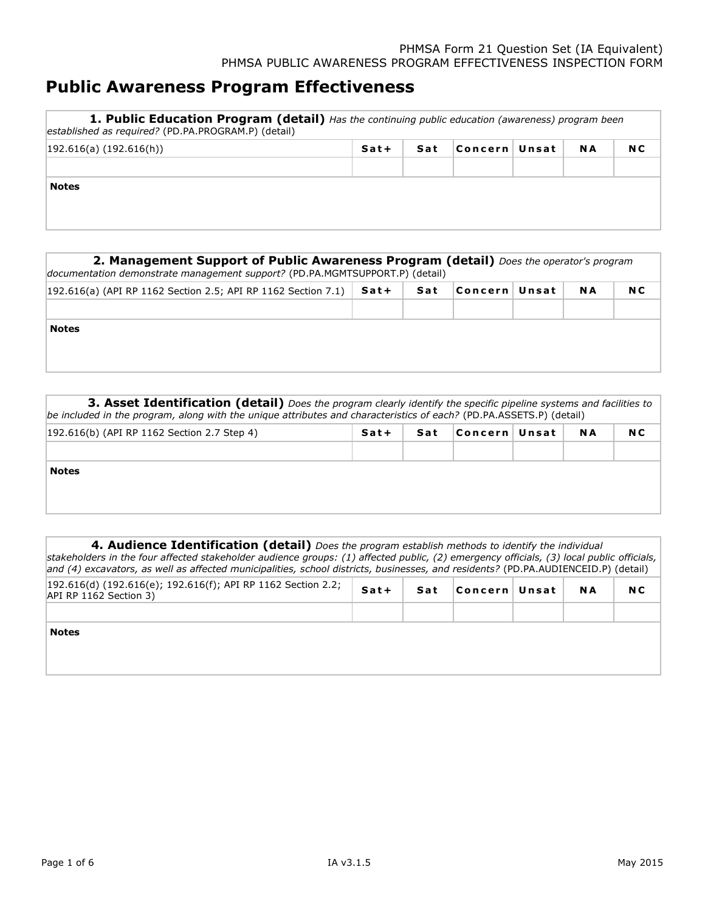## **Public Awareness Program Effectiveness**

| <b>1. Public Education Program (detail)</b> Has the continuing public education (awareness) program been<br>established as required? (PD.PA.PROGRAM.P) (detail) |        |     |                |  |           |     |  |  |  |
|-----------------------------------------------------------------------------------------------------------------------------------------------------------------|--------|-----|----------------|--|-----------|-----|--|--|--|
| 192.616(a) (192.616(h))                                                                                                                                         | $Sat+$ | Sat | Concern  Unsat |  | <b>NA</b> | N C |  |  |  |
| <b>Notes</b>                                                                                                                                                    |        |     |                |  |           |     |  |  |  |

| <b>2. Management Support of Public Awareness Program (detail)</b> Does the operator's program<br>documentation demonstrate management support? (PD.PA.MGMTSUPPORT.P) (detail) |      |     |               |  |     |     |  |  |  |
|-------------------------------------------------------------------------------------------------------------------------------------------------------------------------------|------|-----|---------------|--|-----|-----|--|--|--|
| $ 192.616(a)$ (API RP 1162 Section 2.5; API RP 1162 Section 7.1)                                                                                                              | Sat+ | Sat | Concern∣Unsat |  | N A | N C |  |  |  |
|                                                                                                                                                                               |      |     |               |  |     |     |  |  |  |
| <b>Notes</b>                                                                                                                                                                  |      |     |               |  |     |     |  |  |  |
|                                                                                                                                                                               |      |     |               |  |     |     |  |  |  |
|                                                                                                                                                                               |      |     |               |  |     |     |  |  |  |

**3. Asset Identification (detail)** Does the program clearly identify the specific pipeline systems and facilities to be included in the program, along with the unique attributes and characteristics of each? (PD.PA.ASSETS.P) (detail)

| [192.616(b) (API RP 1162 Section 2.7 Step 4) | Sat+ | Sat | Concern  Unsat | <b>NA</b> | N C |
|----------------------------------------------|------|-----|----------------|-----------|-----|
|                                              |      |     |                |           |     |
| <b>Notes</b>                                 |      |     |                |           |     |

| 4. Audience Identification (detail) Does the program establish methods to identify the individual<br>stakeholders in the four affected stakeholder audience groups: (1) affected public, (2) emergency officials, (3) local public officials,<br>and (4) excavators, as well as affected municipalities, school districts, businesses, and residents? (PD.PA.AUDIENCEID.P) (detail) |         |     |                |     |     |
|-------------------------------------------------------------------------------------------------------------------------------------------------------------------------------------------------------------------------------------------------------------------------------------------------------------------------------------------------------------------------------------|---------|-----|----------------|-----|-----|
| $192.616(d)$ (192.616(e); 192.616(f); API RP 1162 Section 2.2;<br>API RP 1162 Section 3)                                                                                                                                                                                                                                                                                            | $S$ at+ | Sat | Concern  Unsat | N A | N C |
| <b>Notes</b>                                                                                                                                                                                                                                                                                                                                                                        |         |     |                |     |     |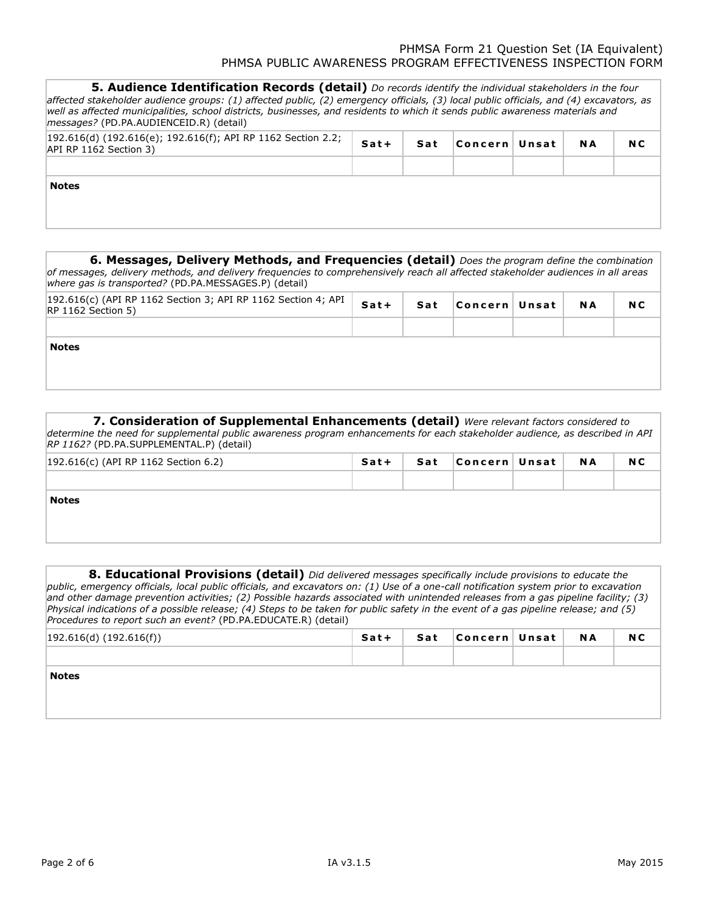| <b>5. Audience Identification Records (detail)</b> Do records identify the individual stakeholders in the four<br>affected stakeholder audience groups: (1) affected public, (2) emergency officials, (3) local public officials, and (4) excavators, as<br>well as affected municipalities, school districts, businesses, and residents to which it sends public awareness materials and<br><i>messages?</i> (PD.PA.AUDIENCEID.R) (detail) |        |     |                |           |     |
|---------------------------------------------------------------------------------------------------------------------------------------------------------------------------------------------------------------------------------------------------------------------------------------------------------------------------------------------------------------------------------------------------------------------------------------------|--------|-----|----------------|-----------|-----|
| $ 192.616(d)$ (192.616(e); 192.616(f); API RP 1162 Section 2.2;<br>API RP 1162 Section 3)                                                                                                                                                                                                                                                                                                                                                   | $Sat+$ | Sat | Concern  Unsat | <b>NA</b> | N C |
| <b>Notes</b>                                                                                                                                                                                                                                                                                                                                                                                                                                |        |     |                |           |     |

| 6. Messages, Delivery Methods, and Frequencies (detail) Does the program define the combination<br>of messages, delivery methods, and delivery frequencies to comprehensively reach all affected stakeholder audiences in all areas<br>where gas is transported? (PD.PA.MESSAGES.P) (detail) |      |     |                |           |     |
|----------------------------------------------------------------------------------------------------------------------------------------------------------------------------------------------------------------------------------------------------------------------------------------------|------|-----|----------------|-----------|-----|
| $ 192.616(c)$ (API RP 1162 Section 3; API RP 1162 Section 4; API<br>$RP$ 1162 Section 5)                                                                                                                                                                                                     | Sat+ | Sat | Concern  Unsat | <b>NA</b> | N C |
| <b>Notes</b>                                                                                                                                                                                                                                                                                 |      |     |                |           |     |
|                                                                                                                                                                                                                                                                                              |      |     |                |           |     |

| 7. Consideration of Supplemental Enhancements (detail) Were relevant factors considered to                                   |        |  |                        |  |  |     |  |  |
|------------------------------------------------------------------------------------------------------------------------------|--------|--|------------------------|--|--|-----|--|--|
| determine the need for supplemental public awareness program enhancements for each stakeholder audience, as described in API |        |  |                        |  |  |     |  |  |
| RP 1162? (PD.PA.SUPPLEMENTAL.P) (detail)                                                                                     |        |  |                        |  |  |     |  |  |
| 192.616(c) (API RP 1162 Section 6.2)                                                                                         | Sat+ I |  | Sat Concern Unsat   NA |  |  | N C |  |  |

**Notes**

**8. Educational Provisions (detail)** Did delivered messages specifically include provisions to educate the *public, emergency officials, local public officials, and excavators on: (1) Use of a one-call notification system prior to excavation and other damage prevention activities; (2) Possible hazards associated with unintended releases from a gas pipeline facility; (3) Physical indications of a possible release; (4) Steps to be taken for public safety in the event of a gas pipeline release; and (5) Procedures to report such an event?* (PD.PA.EDUCATE.R) (detail)

| 192.616(d) (192.616(f)) | Sat+ | Sat | Concern  Unsat | <b>NA</b> | N C |
|-------------------------|------|-----|----------------|-----------|-----|
|                         |      |     |                |           |     |
| <b>Notes</b>            |      |     |                |           |     |
|                         |      |     |                |           |     |
|                         |      |     |                |           |     |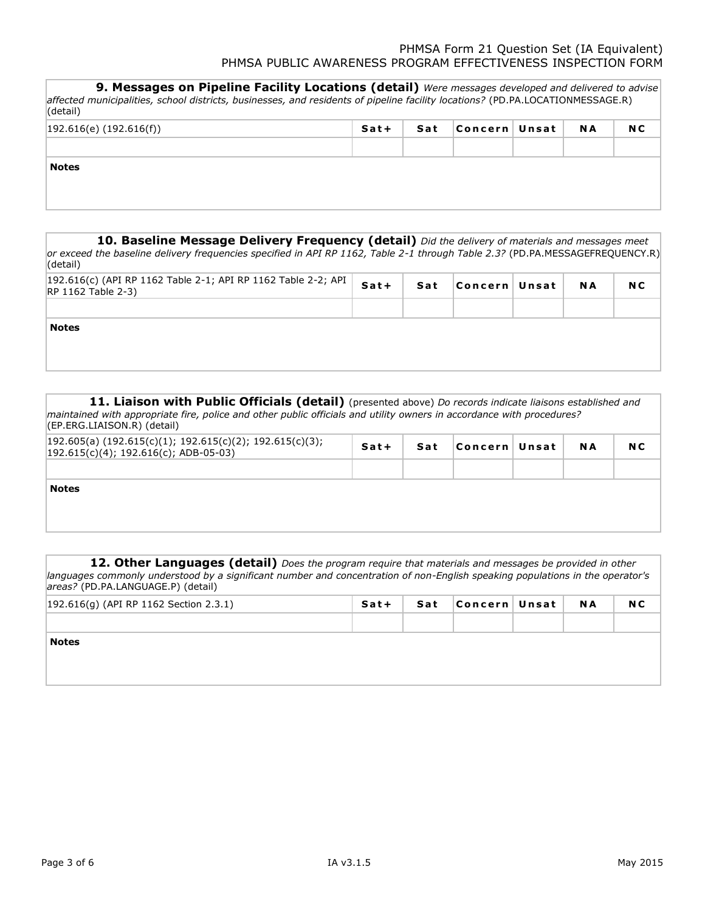**9. Messages on Pipeline Facility Locations (detail)** Were messages developed and delivered to advise *affected municipalities, school districts, businesses, and residents of pipeline facility locations?* (PD.PA.LOCATIONMESSAGE.R) (detail) 192.616(e) (192.616(f)) **S a t + S a t C o n c e r n U n s a t N A N C Notes**

| 10. Baseline Message Delivery Frequency (detail) Did the delivery of materials and messages meet<br>or exceed the baseline delivery frequencies specified in API RP 1162, Table 2-1 through Table 2.3? (PD.PA.MESSAGEFREQUENCY.R)<br>(detail) |        |     |                |           |     |
|-----------------------------------------------------------------------------------------------------------------------------------------------------------------------------------------------------------------------------------------------|--------|-----|----------------|-----------|-----|
| 192.616(c) (API RP 1162 Table 2-1; API RP 1162 Table 2-2; API<br><b>RP 1162 Table 2-3)</b>                                                                                                                                                    | $Sat+$ | Sat | Concern  Unsat | <b>NA</b> | N C |
| <b>Notes</b>                                                                                                                                                                                                                                  |        |     |                |           |     |

11. Liaison with Public Officials (detail) (presented above) *Do records indicate liaisons established and maintained with appropriate fire, police and other public officials and utility owners in accordance with procedures?*  (EP.ERG.LIAISON.R) (detail)

| $ 192.605(a) (192.615(c)(1); 192.615(c)(2); 192.615(c)(3);$<br>$ 192.615(c)(4); 192.616(c);$ ADB-05-03) | Sat+ | Sat | Concern  Unsat | <b>NA</b> | N C |
|---------------------------------------------------------------------------------------------------------|------|-----|----------------|-----------|-----|
|                                                                                                         |      |     |                |           |     |
| <b>Notes</b>                                                                                            |      |     |                |           |     |
|                                                                                                         |      |     |                |           |     |

12. Other Languages (detail) Does the program require that materials and messages be provided in other *languages commonly understood by a significant number and concentration of non-English speaking populations in the operator's areas?* (PD.PA.LANGUAGE.P) (detail)

| 192.616(g) (API RP 1162 Section 2.3.1) | Sat+ | Sat | Concern  Unsat | <b>NA</b> | N C |
|----------------------------------------|------|-----|----------------|-----------|-----|
|                                        |      |     |                |           |     |
| <b>Notes</b>                           |      |     |                |           |     |
|                                        |      |     |                |           |     |
|                                        |      |     |                |           |     |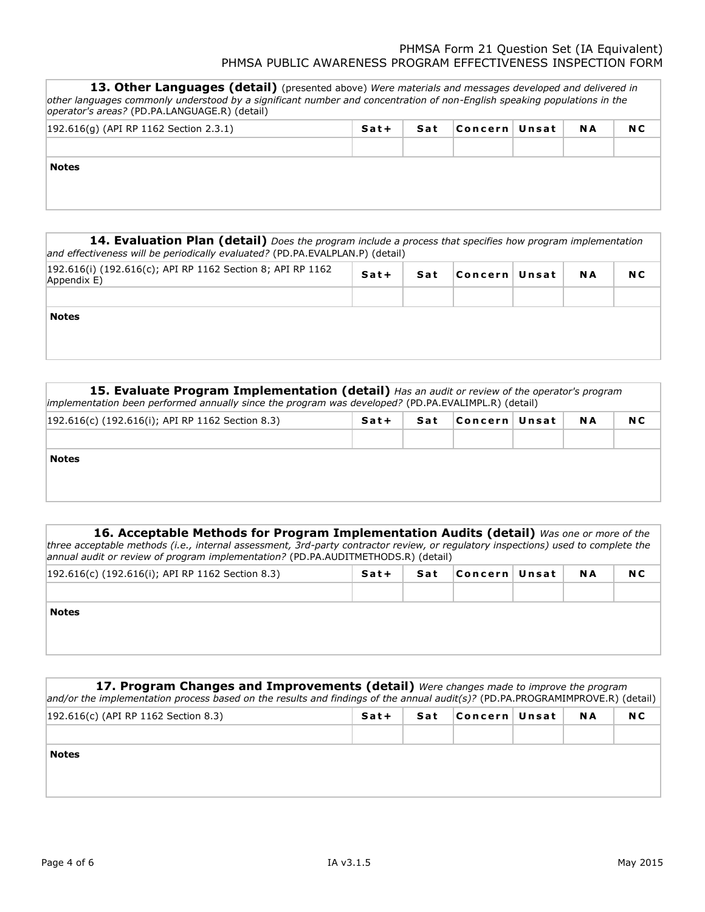| 13. Other Languages (detail) (presented above) Were materials and messages developed and delivered in<br>other languages commonly understood by a significant number and concentration of non-English speaking populations in the<br>operator's areas? (PD.PA.LANGUAGE.R) (detail) |      |     |                |           |     |
|------------------------------------------------------------------------------------------------------------------------------------------------------------------------------------------------------------------------------------------------------------------------------------|------|-----|----------------|-----------|-----|
| $ 192.616(q)$ (API RP 1162 Section 2.3.1)                                                                                                                                                                                                                                          | Sat+ | Sat | ∣Concern∣Unsat | <b>NA</b> | N C |
| <b>Notes</b>                                                                                                                                                                                                                                                                       |      |     |                |           |     |

| 14. Evaluation Plan (detail) Does the program include a process that specifies how program implementation<br>and effectiveness will be periodically evaluated? (PD.PA.EVALPLAN.P) (detail) |      |     |                |           |     |
|--------------------------------------------------------------------------------------------------------------------------------------------------------------------------------------------|------|-----|----------------|-----------|-----|
| [192.616(i) (192.616(c); API RP 1162 Section 8; API RP 1162<br>Appendix E)                                                                                                                 | Sat+ | Sat | ∣Concern∣Unsat | <b>NA</b> | N C |
|                                                                                                                                                                                            |      |     |                |           |     |
| <b>Notes</b>                                                                                                                                                                               |      |     |                |           |     |

| 15. Evaluate Program Implementation (detail) Has an audit or review of the operator's program<br>implementation been performed annually since the program was developed? (PD.PA.EVALIMPL.R) (detail) |      |     |                |  |     |     |  |  |  |  |  |
|------------------------------------------------------------------------------------------------------------------------------------------------------------------------------------------------------|------|-----|----------------|--|-----|-----|--|--|--|--|--|
| $ 192.616(c)$ (192.616(i); API RP 1162 Section 8.3)                                                                                                                                                  | Sat+ | Sat | Concern  Unsat |  | N A | N C |  |  |  |  |  |
|                                                                                                                                                                                                      |      |     |                |  |     |     |  |  |  |  |  |
| <b>Notes</b>                                                                                                                                                                                         |      |     |                |  |     |     |  |  |  |  |  |
|                                                                                                                                                                                                      |      |     |                |  |     |     |  |  |  |  |  |
|                                                                                                                                                                                                      |      |     |                |  |     |     |  |  |  |  |  |

| 16. Acceptable Methods for Program Implementation Audits (detail) Was one or more of the                                          |
|-----------------------------------------------------------------------------------------------------------------------------------|
| three acceptable methods (i.e., internal assessment, 3rd-party contractor review, or regulatory inspections) used to complete the |
| annual audit or review of program implementation? (PD.PA.AUDITMETHODS.R) (detail)                                                 |

| $ 192.616(c)$ (192.616(i); API RP 1162 Section 8.3) | Sat+ | Sat | ∣Concern ∣ Unsat | <b>NA</b> | N <sub>C</sub> |
|-----------------------------------------------------|------|-----|------------------|-----------|----------------|
|                                                     |      |     |                  |           |                |
| <b>Notes</b>                                        |      |     |                  |           |                |

| 17. Program Changes and Improvements (detail) Were changes made to improve the program<br>and/or the implementation process based on the results and findings of the annual audit(s)? (PD.PA.PROGRAMIMPROVE.R) (detail) |        |     |                 |           |     |
|-------------------------------------------------------------------------------------------------------------------------------------------------------------------------------------------------------------------------|--------|-----|-----------------|-----------|-----|
| [192.616(c) (API RP 1162 Section 8.3)                                                                                                                                                                                   | $Sat+$ | Sat | Concern   Unsat | <b>NA</b> | N C |
|                                                                                                                                                                                                                         |        |     |                 |           |     |
| <b>Notes</b>                                                                                                                                                                                                            |        |     |                 |           |     |
|                                                                                                                                                                                                                         |        |     |                 |           |     |
|                                                                                                                                                                                                                         |        |     |                 |           |     |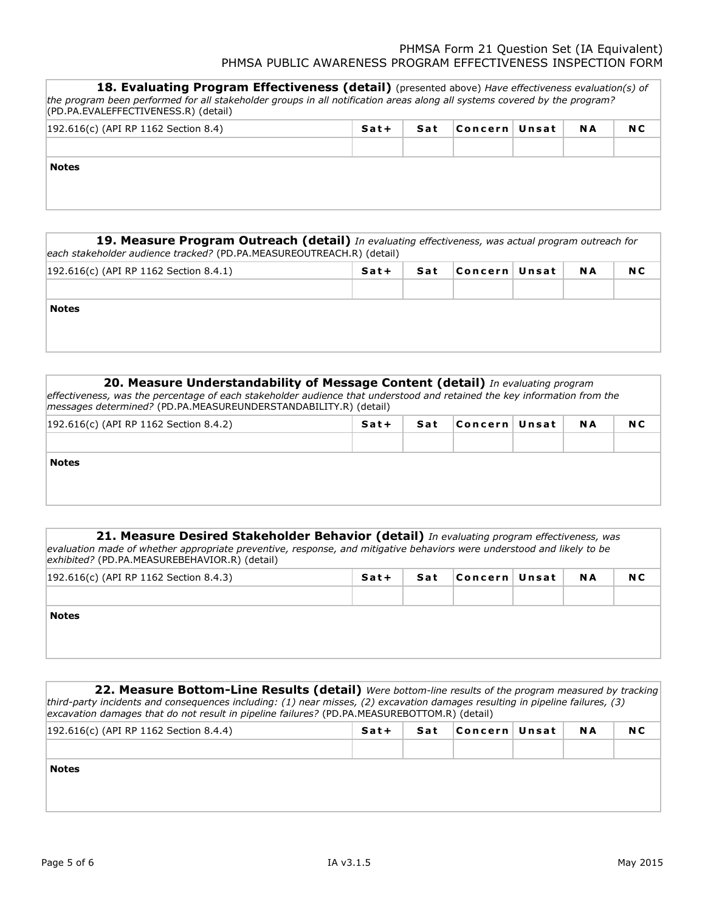| 18. Evaluating Program Effectiveness (detail) (presented above) Have effectiveness evaluation(s) of<br>the program been performed for all stakeholder groups in all notification areas along all systems covered by the program?<br>(PD.PA.EVALEFFECTIVENESS.R) (detail) |        |     |                |  |     |     |  |  |  |  |
|--------------------------------------------------------------------------------------------------------------------------------------------------------------------------------------------------------------------------------------------------------------------------|--------|-----|----------------|--|-----|-----|--|--|--|--|
| $ 192.616(c)$ (API RP 1162 Section 8.4)                                                                                                                                                                                                                                  | $Sat+$ | Sat | ∣Concern∣Unsat |  | N A | N C |  |  |  |  |
|                                                                                                                                                                                                                                                                          |        |     |                |  |     |     |  |  |  |  |
| <b>Notes</b>                                                                                                                                                                                                                                                             |        |     |                |  |     |     |  |  |  |  |

| 19. Measure Program Outreach (detail) In evaluating effectiveness, was actual program outreach for |  |  |                        |  |           |     |  |  |  |  |  |
|----------------------------------------------------------------------------------------------------|--|--|------------------------|--|-----------|-----|--|--|--|--|--|
| each stakeholder audience tracked? (PD.PA.MEASUREOUTREACH.R) (detail)                              |  |  |                        |  |           |     |  |  |  |  |  |
| 192.616(c) (API RP 1162 Section 8.4.1)                                                             |  |  | Sat+ Sat Concern Unsat |  | <b>NA</b> | N C |  |  |  |  |  |

| $\left  \frac{1}{2}$ $\left  \frac{1}{2} \right $ $\left  \frac{1}{2} \right $ $\left  \frac{1}{2} \right $ $\left  \frac{1}{2} \right $ $\left  \frac{1}{2} \right $ $\left  \frac{1}{2} \right $ $\left  \frac{1}{2} \right $ | . | 341 | $\mathbf{r}$ | . . |
|---------------------------------------------------------------------------------------------------------------------------------------------------------------------------------------------------------------------------------|---|-----|--------------|-----|
|                                                                                                                                                                                                                                 |   |     |              |     |
|                                                                                                                                                                                                                                 |   |     |              |     |
|                                                                                                                                                                                                                                 |   |     |              |     |
|                                                                                                                                                                                                                                 |   |     |              |     |
| <b>Notes</b>                                                                                                                                                                                                                    |   |     |              |     |
|                                                                                                                                                                                                                                 |   |     |              |     |
|                                                                                                                                                                                                                                 |   |     |              |     |

# **FA7 E8978ADB640AD AD25A5D31F8AB2E0-PDP AMEASUREUNDERSTANDABIL ITYR 20. Measure Understandability of Message Content (detail)** *In evaluating program effectiveness, was the percentage of each stakeholder audience that understood and retained the key information from the messages determined?* (PD.PA.MEASUREUNDERSTANDABILITY.R) (detail) 192.616(c) (API RP 1162 Section 8.4.2) **S a t + S a t C o n c e r n U n s a t N A N C Notes**

| 21. Measure Desired Stakeholder Behavior (detail) In evaluating program effectiveness, was                             |
|------------------------------------------------------------------------------------------------------------------------|
| evaluation made of whether appropriate preventive, response, and mitigative behaviors were understood and likely to be |
| exhibited? (PD.PA.MEASUREBEHAVIOR.R) (detail)                                                                          |

| $ 192.616(c)$ (API RP 1162 Section 8.4.3) | Sat+ | Sat   Concern   Unsat | N A | N <sub>C</sub> |
|-------------------------------------------|------|-----------------------|-----|----------------|
|                                           |      |                       |     |                |
| <b>Notes</b>                              |      |                       |     |                |

**22. Measure Bottom-Line Results (detail)** Were bottom-line results of the program measured by tracking *third-party incidents and consequences including: (1) near misses, (2) excavation damages resulting in pipeline failures, (3) excavation damages that do not result in pipeline failures?* (PD.PA.MEASUREBOTTOM.R) (detail)

| $ 192.616(c)$ (API RP 1162 Section 8.4.4) | Sat+ | Sat | Concern  Unsat | <b>NA</b> | N C |
|-------------------------------------------|------|-----|----------------|-----------|-----|
|                                           |      |     |                |           |     |
| <b>Notes</b>                              |      |     |                |           |     |
|                                           |      |     |                |           |     |
|                                           |      |     |                |           |     |